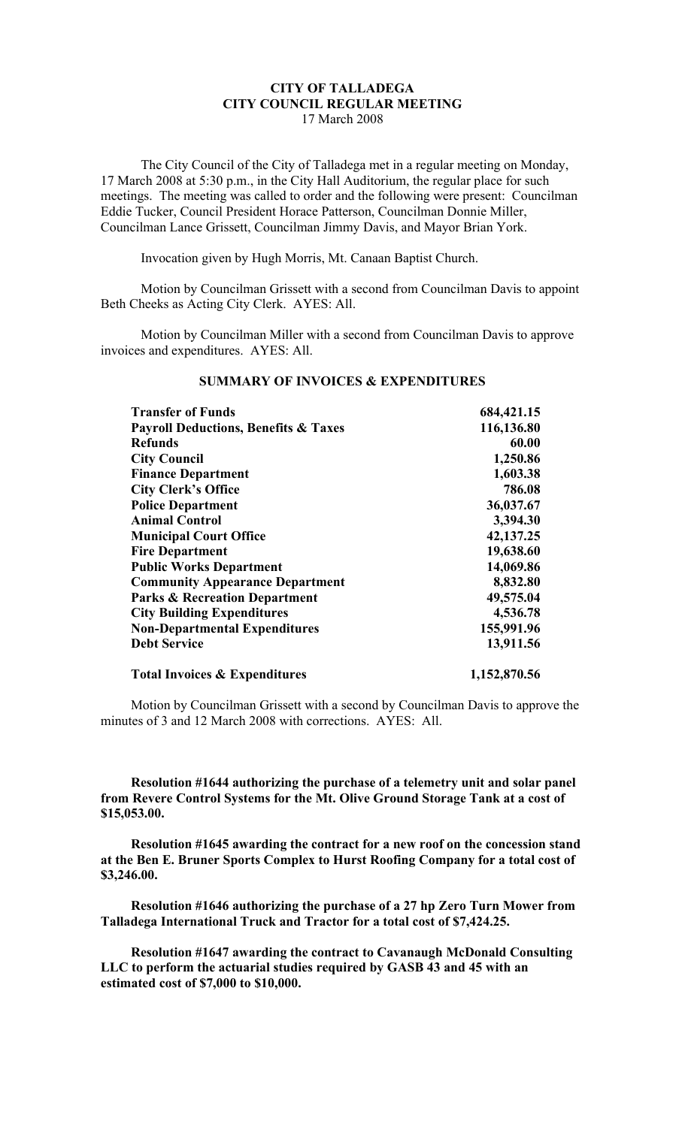# **CITY OF TALLADEGA CITY COUNCIL REGULAR MEETING** 17 March 2008

The City Council of the City of Talladega met in a regular meeting on Monday, 17 March 2008 at 5:30 p.m., in the City Hall Auditorium, the regular place for such meetings. The meeting was called to order and the following were present: Councilman Eddie Tucker, Council President Horace Patterson, Councilman Donnie Miller, Councilman Lance Grissett, Councilman Jimmy Davis, and Mayor Brian York.

Invocation given by Hugh Morris, Mt. Canaan Baptist Church.

Motion by Councilman Grissett with a second from Councilman Davis to appoint Beth Cheeks as Acting City Clerk. AYES: All.

Motion by Councilman Miller with a second from Councilman Davis to approve invoices and expenditures. AYES: All.

| <b>Transfer of Funds</b>                        | 684, 421. 15 |
|-------------------------------------------------|--------------|
| <b>Payroll Deductions, Benefits &amp; Taxes</b> | 116,136.80   |
| <b>Refunds</b>                                  | 60.00        |
| <b>City Council</b>                             | 1,250.86     |
| <b>Finance Department</b>                       | 1,603.38     |
| <b>City Clerk's Office</b>                      | 786.08       |
| <b>Police Department</b>                        | 36,037.67    |
| <b>Animal Control</b>                           | 3,394.30     |
| <b>Municipal Court Office</b>                   | 42, 137. 25  |
| <b>Fire Department</b>                          | 19,638.60    |
| <b>Public Works Department</b>                  | 14,069.86    |
| <b>Community Appearance Department</b>          | 8,832.80     |
| <b>Parks &amp; Recreation Department</b>        | 49,575.04    |
| <b>City Building Expenditures</b>               | 4,536.78     |
| <b>Non-Departmental Expenditures</b>            | 155,991.96   |
| <b>Debt Service</b>                             | 13,911.56    |
| <b>Total Invoices &amp; Expenditures</b>        | 1,152,870.56 |

## **SUMMARY OF INVOICES & EXPENDITURES**

Motion by Councilman Grissett with a second by Councilman Davis to approve the minutes of 3 and 12 March 2008 with corrections. AYES: All.

**Resolution #1644 authorizing the purchase of a telemetry unit and solar panel from Revere Control Systems for the Mt. Olive Ground Storage Tank at a cost of \$15,053.00.**

**Resolution #1645 awarding the contract for a new roof on the concession stand at the Ben E. Bruner Sports Complex to Hurst Roofing Company for a total cost of \$3,246.00.**

**Resolution #1646 authorizing the purchase of a 27 hp Zero Turn Mower from Talladega International Truck and Tractor for a total cost of \$7,424.25.**

**Resolution #1647 awarding the contract to Cavanaugh McDonald Consulting LLC to perform the actuarial studies required by GASB 43 and 45 with an estimated cost of \$7,000 to \$10,000.**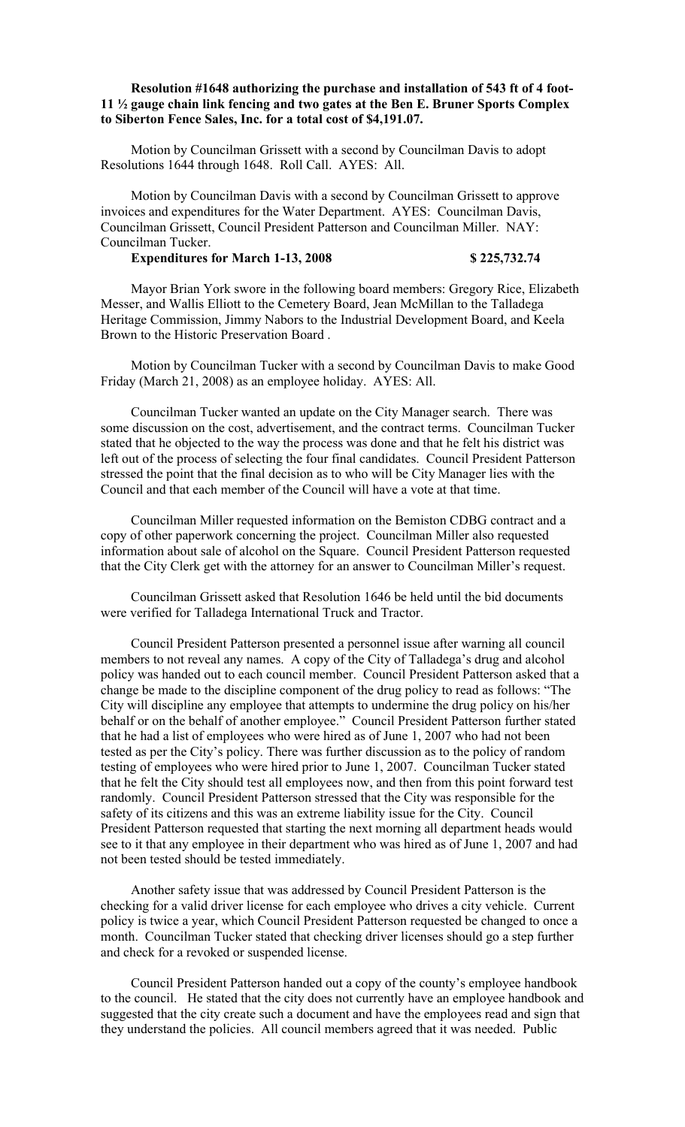## **Resolution #1648 authorizing the purchase and installation of 543 ft of 4 foot-11 ½ gauge chain link fencing and two gates at the Ben E. Bruner Sports Complex to Siberton Fence Sales, Inc. for a total cost of \$4,191.07.**

Motion by Councilman Grissett with a second by Councilman Davis to adopt Resolutions 1644 through 1648. Roll Call. AYES: All.

Motion by Councilman Davis with a second by Councilman Grissett to approve invoices and expenditures for the Water Department. AYES: Councilman Davis, Councilman Grissett, Council President Patterson and Councilman Miller. NAY: Councilman Tucker.

### **Expenditures for March 1-13, 2008 \$ 225,732.74**

Mayor Brian York swore in the following board members: Gregory Rice, Elizabeth Messer, and Wallis Elliott to the Cemetery Board, Jean McMillan to the Talladega Heritage Commission, Jimmy Nabors to the Industrial Development Board, and Keela Brown to the Historic Preservation Board .

Motion by Councilman Tucker with a second by Councilman Davis to make Good Friday (March 21, 2008) as an employee holiday. AYES: All.

Councilman Tucker wanted an update on the City Manager search. There was some discussion on the cost, advertisement, and the contract terms. Councilman Tucker stated that he objected to the way the process was done and that he felt his district was left out of the process of selecting the four final candidates. Council President Patterson stressed the point that the final decision as to who will be City Manager lies with the Council and that each member of the Council will have a vote at that time.

Councilman Miller requested information on the Bemiston CDBG contract and a copy of other paperwork concerning the project. Councilman Miller also requested information about sale of alcohol on the Square. Council President Patterson requested that the City Clerk get with the attorney for an answer to Councilman Miller's request.

Councilman Grissett asked that Resolution 1646 be held until the bid documents were verified for Talladega International Truck and Tractor.

Council President Patterson presented a personnel issue after warning all council members to not reveal any names. A copy of the City of Talladega's drug and alcohol policy was handed out to each council member. Council President Patterson asked that a change be made to the discipline component of the drug policy to read as follows: "The City will discipline any employee that attempts to undermine the drug policy on his/her behalf or on the behalf of another employee." Council President Patterson further stated that he had a list of employees who were hired as of June 1, 2007 who had not been tested as per the City's policy. There was further discussion as to the policy of random testing of employees who were hired prior to June 1, 2007. Councilman Tucker stated that he felt the City should test all employees now, and then from this point forward test randomly. Council President Patterson stressed that the City was responsible for the safety of its citizens and this was an extreme liability issue for the City. Council President Patterson requested that starting the next morning all department heads would see to it that any employee in their department who was hired as of June 1, 2007 and had not been tested should be tested immediately.

Another safety issue that was addressed by Council President Patterson is the checking for a valid driver license for each employee who drives a city vehicle. Current policy is twice a year, which Council President Patterson requested be changed to once a month. Councilman Tucker stated that checking driver licenses should go a step further and check for a revoked or suspended license.

Council President Patterson handed out a copy of the county's employee handbook to the council. He stated that the city does not currently have an employee handbook and suggested that the city create such a document and have the employees read and sign that they understand the policies. All council members agreed that it was needed. Public